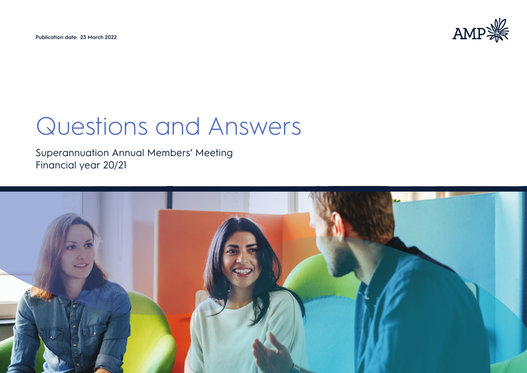**Publication date: 23 March 2022**



# Questions and Answers

Superannuation Annual Members' Meeting Financial year 20/21

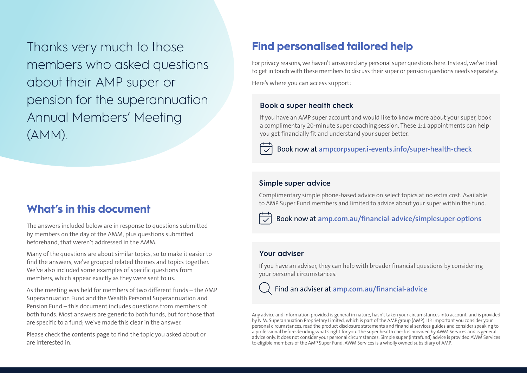Thanks very much to those members who asked questions about their AMP super or pension for the superannuation Annual Members' Meeting (AMM).

### **What's in this document**

The answers included below are in response to questions submitted by members on the day of the AMM, plus questions submitted beforehand, that weren't addressed in the AMM.

Many of the questions are about similar topics, so to make it easier to find the answers, we've grouped related themes and topics together. We've also included some examples of specific questions from members, which appear exactly as they were sent to us.

As the meeting was held for members of two different funds – the AMP Superannuation Fund and the Wealth Personal Superannuation and Pension Fund – this document includes questions from members of both funds. Most answers are generic to both funds, but for those that are specific to a fund; we've made this clear in the answer.

Please check the **[contents page](#page-2-0)** to find the topic you asked about or are interested in.

## **Find personalised tailored help**

For privacy reasons, we haven't answered any personal super questions here. Instead, we've tried to get in touch with these members to discuss their super or pension questions needs separately. Here's where you can access support:

### **Book a super health check**

If you have an AMP super account and would like to know more about your super, book a complimentary 20-minute super coaching session. These 1:1 appointments can help you get financially fit and understand your super better.



### **Simple super advice**

Complimentary simple phone-based advice on select topics at no extra cost. Available to AMP Super Fund members and limited to advice about your super within the fund.



Book now at **[amp.com.au/financial-advice/simplesuper-options](https://www.amp.com.au/financial-advice/simplesuper-options)**

### **Your adviser**

If you have an adviser, they can help with broader financial questions by considering your personal circumstances.



Find an adviser at **[amp.com.au/financial-advice](http://amp.com.au/financial-advice)**

Any advice and information provided is general in nature, hasn't taken your circumstances into account, and is provided by N.M. Superannuation Proprietary Limited, which is part of the AMP group (AMP). It's important you consider your personal circumstances, read the product disclosure statements and financial services guides and consider speaking to a professional before deciding what's right for you. The super health check is provided by AWM Services and is general advice only. It does not consider your personal circumstances. Simple super (intrafund) advice is provided AWM Services to eligible members of the AMP Super Fund. AWM Services is a wholly owned subsidiary of AMP.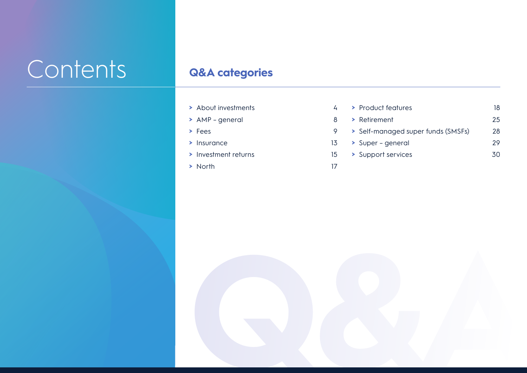# <span id="page-2-0"></span>Contents **Q&A categories**

- <span id="page-2-1"></span>**>** [About investments](#page-3-0) 4
- **>** [AMP general](#page-7-0) 8
- **>** [Fees](#page-8-0) 9
- **>** [Insurance](#page-12-0) 13
- **>** [Investment returns](#page-14-0) 15
- **>** [North](#page-16-0) 17
- **>** [Product features](#page-17-0) 18 **>** [Retirement](#page-24-0) 25 **>** [Self-managed super funds \(SMSFs\)](#page-27-0) 28 **>** [Super – general](#page-28-0) 29 **>** [Support services](#page-29-0) 30

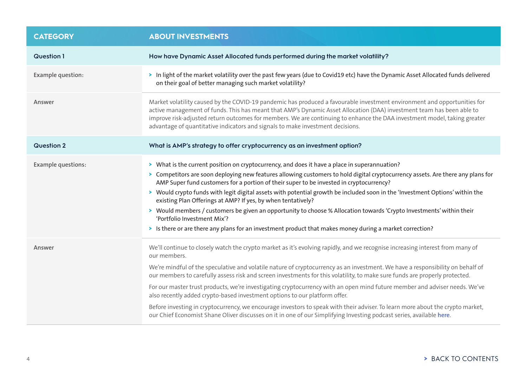<span id="page-3-0"></span>

| <b>CATEGORY</b>           | <b>ABOUT INVESTMENTS</b>                                                                                                                                                                                                                                                                                                                                                                                                                                                                                                                                                                                                                                                                                                                                                                                                                                                             |
|---------------------------|--------------------------------------------------------------------------------------------------------------------------------------------------------------------------------------------------------------------------------------------------------------------------------------------------------------------------------------------------------------------------------------------------------------------------------------------------------------------------------------------------------------------------------------------------------------------------------------------------------------------------------------------------------------------------------------------------------------------------------------------------------------------------------------------------------------------------------------------------------------------------------------|
| <b>Question 1</b>         | How have Dynamic Asset Allocated funds performed during the market volatility?                                                                                                                                                                                                                                                                                                                                                                                                                                                                                                                                                                                                                                                                                                                                                                                                       |
| <b>Example question:</b>  | > In light of the market volatility over the past few years (due to Covid19 etc) have the Dynamic Asset Allocated funds delivered<br>on their goal of better managing such market volatility?                                                                                                                                                                                                                                                                                                                                                                                                                                                                                                                                                                                                                                                                                        |
| Answer                    | Market volatility caused by the COVID-19 pandemic has produced a favourable investment environment and opportunities for<br>active management of funds. This has meant that AMP's Dynamic Asset Allocation (DAA) investment team has been able to<br>improve risk-adjusted return outcomes for members. We are continuing to enhance the DAA investment model, taking greater<br>advantage of quantitative indicators and signals to make investment decisions.                                                                                                                                                                                                                                                                                                                                                                                                                      |
| <b>Question 2</b>         | What is AMP's strategy to offer cryptocurrency as an investment option?                                                                                                                                                                                                                                                                                                                                                                                                                                                                                                                                                                                                                                                                                                                                                                                                              |
| <b>Example questions:</b> | > What is the current position on cryptocurrency, and does it have a place in superannuation?<br>> Competitors are soon deploying new features allowing customers to hold digital cryptocurrency assets. Are there any plans for<br>AMP Super fund customers for a portion of their super to be invested in cryptocurrency?<br>> Would crypto funds with legit digital assets with potential growth be included soon in the 'Investment Options' within the<br>existing Plan Offerings at AMP? If yes, by when tentatively?<br>> Would members / customers be given an opportunity to choose % Allocation towards 'Crypto Investments' within their<br>'Portfolio Investment Mix'?<br>> Is there or are there any plans for an investment product that makes money during a market correction?                                                                                       |
| Answer                    | We'll continue to closely watch the crypto market as it's evolving rapidly, and we recognise increasing interest from many of<br>our members.<br>We're mindful of the speculative and volatile nature of cryptocurrency as an investment. We have a responsibility on behalf of<br>our members to carefully assess risk and screen investments for this volatility, to make sure funds are properly protected.<br>For our master trust products, we're investigating cryptocurrency with an open mind future member and adviser needs. We've<br>also recently added crypto-based investment options to our platform offer.<br>Before investing in cryptocurrency, we encourage investors to speak with their adviser. To learn more about the crypto market,<br>our Chief Economist Shane Oliver discusses on it in one of our Simplifying Investing podcast series, available here. |

### 4 **>** [BACK TO CONTENTS](#page-2-1)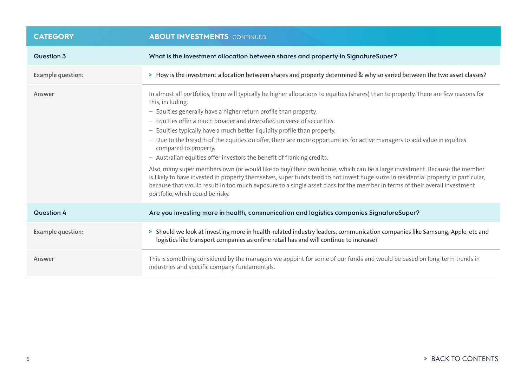| <b>CATEGORY</b>   | <b>ABOUT INVESTMENTS</b> CONTINUED                                                                                                                                                                                                                                                                                                                                                                                                                                                                                                                                                                                                                                                                                                                                                                                                                                                                                                                                                                                                                     |
|-------------------|--------------------------------------------------------------------------------------------------------------------------------------------------------------------------------------------------------------------------------------------------------------------------------------------------------------------------------------------------------------------------------------------------------------------------------------------------------------------------------------------------------------------------------------------------------------------------------------------------------------------------------------------------------------------------------------------------------------------------------------------------------------------------------------------------------------------------------------------------------------------------------------------------------------------------------------------------------------------------------------------------------------------------------------------------------|
| Question 3        | What is the investment allocation between shares and property in SignatureSuper?                                                                                                                                                                                                                                                                                                                                                                                                                                                                                                                                                                                                                                                                                                                                                                                                                                                                                                                                                                       |
| Example question: | > How is the investment allocation between shares and property determined & why so varied between the two asset classes?                                                                                                                                                                                                                                                                                                                                                                                                                                                                                                                                                                                                                                                                                                                                                                                                                                                                                                                               |
| Answer            | In almost all portfolios, there will typically be higher allocations to equities (shares) than to property. There are few reasons for<br>this, including:<br>- Equities generally have a higher return profile than property.<br>- Equities offer a much broader and diversified universe of securities.<br>- Equities typically have a much better liquidity profile than property.<br>- Due to the breadth of the equities on offer, there are more opportunities for active managers to add value in equities<br>compared to property.<br>- Australian equities offer investors the benefit of franking credits.<br>Also, many super members own (or would like to buy) their own home, which can be a large investment. Because the member<br>is likely to have invested in property themselves, super funds tend to not invest huge sums in residential property in particular,<br>because that would result in too much exposure to a single asset class for the member in terms of their overall investment<br>portfolio, which could be risky. |
| <b>Question 4</b> | Are you investing more in health, communication and logistics companies SignatureSuper?                                                                                                                                                                                                                                                                                                                                                                                                                                                                                                                                                                                                                                                                                                                                                                                                                                                                                                                                                                |
| Example question: | > Should we look at investing more in health-related industry leaders, communication companies like Samsung, Apple, etc and<br>logistics like transport companies as online retail has and will continue to increase?                                                                                                                                                                                                                                                                                                                                                                                                                                                                                                                                                                                                                                                                                                                                                                                                                                  |
| Answer            | This is something considered by the managers we appoint for some of our funds and would be based on long-term trends in<br>industries and specific company fundamentals.                                                                                                                                                                                                                                                                                                                                                                                                                                                                                                                                                                                                                                                                                                                                                                                                                                                                               |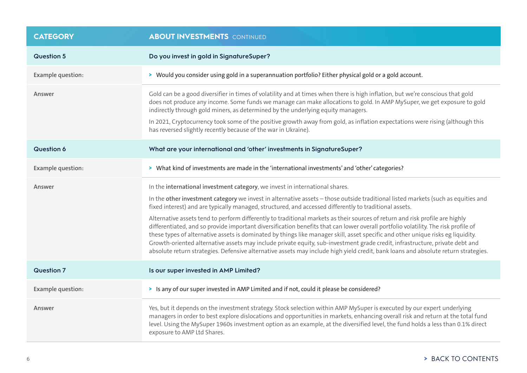| <b>CATEGORY</b>   | <b>ABOUT INVESTMENTS</b> CONTINUED                                                                                                                                                                                                                                                                                                                                                                                                                                                                                                                                                                                                                                                                                                                                                                                                                                                                                                                                                                          |
|-------------------|-------------------------------------------------------------------------------------------------------------------------------------------------------------------------------------------------------------------------------------------------------------------------------------------------------------------------------------------------------------------------------------------------------------------------------------------------------------------------------------------------------------------------------------------------------------------------------------------------------------------------------------------------------------------------------------------------------------------------------------------------------------------------------------------------------------------------------------------------------------------------------------------------------------------------------------------------------------------------------------------------------------|
| <b>Question 5</b> | Do you invest in gold in SignatureSuper?                                                                                                                                                                                                                                                                                                                                                                                                                                                                                                                                                                                                                                                                                                                                                                                                                                                                                                                                                                    |
| Example question: | > Would you consider using gold in a superannuation portfolio? Either physical gold or a gold account.                                                                                                                                                                                                                                                                                                                                                                                                                                                                                                                                                                                                                                                                                                                                                                                                                                                                                                      |
| Answer            | Gold can be a good diversifier in times of volatility and at times when there is high inflation, but we're conscious that gold<br>does not produce any income. Some funds we manage can make allocations to gold. In AMP MySuper, we get exposure to gold<br>indirectly through gold miners, as determined by the underlying equity managers.<br>In 2021, Cryptocurrency took some of the positive growth away from gold, as inflation expectations were rising (although this<br>has reversed slightly recently because of the war in Ukraine).                                                                                                                                                                                                                                                                                                                                                                                                                                                            |
| <b>Question 6</b> | What are your international and 'other' investments in SignatureSuper?                                                                                                                                                                                                                                                                                                                                                                                                                                                                                                                                                                                                                                                                                                                                                                                                                                                                                                                                      |
| Example question: | > What kind of investments are made in the 'international investments' and 'other' categories?                                                                                                                                                                                                                                                                                                                                                                                                                                                                                                                                                                                                                                                                                                                                                                                                                                                                                                              |
| Answer            | In the international investment category, we invest in international shares.<br>In the other investment category we invest in alternative assets - those outside traditional listed markets (such as equities and<br>fixed interest) and are typically managed, structured, and accessed differently to traditional assets.<br>Alternative assets tend to perform differently to traditional markets as their sources of return and risk profile are highly<br>differentiated, and so provide important diversification benefits that can lower overall portfolio volatility. The risk profile of<br>these types of alternative assets is dominated by things like manager skill, asset specific and other unique risks eg liquidity.<br>Growth-oriented alternative assets may include private equity, sub-investment grade credit, infrastructure, private debt and<br>absolute return strategies. Defensive alternative assets may include high yield credit, bank loans and absolute return strategies. |
| <b>Question 7</b> | Is our super invested in AMP Limited?                                                                                                                                                                                                                                                                                                                                                                                                                                                                                                                                                                                                                                                                                                                                                                                                                                                                                                                                                                       |
| Example question: | > Is any of our super invested in AMP Limited and if not, could it please be considered?                                                                                                                                                                                                                                                                                                                                                                                                                                                                                                                                                                                                                                                                                                                                                                                                                                                                                                                    |
| Answer            | Yes, but it depends on the investment strategy. Stock selection within AMP MySuper is executed by our expert underlying<br>managers in order to best explore dislocations and opportunities in markets, enhancing overall risk and return at the total fund<br>level. Using the MySuper 1960s investment option as an example, at the diversified level, the fund holds a less than 0.1% direct<br>exposure to AMP Ltd Shares.                                                                                                                                                                                                                                                                                                                                                                                                                                                                                                                                                                              |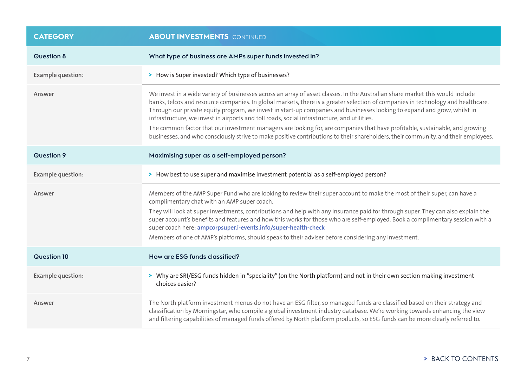| <b>CATEGORY</b>    | <b>ABOUT INVESTMENTS</b> CONTINUED                                                                                                                                                                                                                                                                                                                                                                                                                                                                                                                                                                                                                                                                                                                                 |
|--------------------|--------------------------------------------------------------------------------------------------------------------------------------------------------------------------------------------------------------------------------------------------------------------------------------------------------------------------------------------------------------------------------------------------------------------------------------------------------------------------------------------------------------------------------------------------------------------------------------------------------------------------------------------------------------------------------------------------------------------------------------------------------------------|
| <b>Question 8</b>  | What type of business are AMPs super funds invested in?                                                                                                                                                                                                                                                                                                                                                                                                                                                                                                                                                                                                                                                                                                            |
| Example question:  | > How is Super invested? Which type of businesses?                                                                                                                                                                                                                                                                                                                                                                                                                                                                                                                                                                                                                                                                                                                 |
| Answer             | We invest in a wide variety of businesses across an array of asset classes. In the Australian share market this would include<br>banks, telcos and resource companies. In global markets, there is a greater selection of companies in technology and healthcare.<br>Through our private equity program, we invest in start-up companies and businesses looking to expand and grow, whilst in<br>infrastructure, we invest in airports and toll roads, social infrastructure, and utilities.<br>The common factor that our investment managers are looking for, are companies that have profitable, sustainable, and growing<br>businesses, and who consciously strive to make positive contributions to their shareholders, their community, and their employees. |
| <b>Question 9</b>  | Maximising super as a self-employed person?                                                                                                                                                                                                                                                                                                                                                                                                                                                                                                                                                                                                                                                                                                                        |
| Example question:  | > How best to use super and maximise investment potential as a self-employed person?                                                                                                                                                                                                                                                                                                                                                                                                                                                                                                                                                                                                                                                                               |
| Answer             | Members of the AMP Super Fund who are looking to review their super account to make the most of their super, can have a<br>complimentary chat with an AMP super coach.<br>They will look at super investments, contributions and help with any insurance paid for through super. They can also explain the<br>super account's benefits and features and how this works for those who are self-employed. Book a complimentary session with a<br>super coach here: ampcorpsuper.i-events.info/super-health-check<br>Members of one of AMP's platforms, should speak to their adviser before considering any investment.                                                                                                                                              |
| <b>Question 10</b> | How are ESG funds classified?                                                                                                                                                                                                                                                                                                                                                                                                                                                                                                                                                                                                                                                                                                                                      |
| Example question:  | > Why are SRI/ESG funds hidden in "speciality" (on the North platform) and not in their own section making investment<br>choices easier?                                                                                                                                                                                                                                                                                                                                                                                                                                                                                                                                                                                                                           |
| Answer             | The North platform investment menus do not have an ESG filter, so managed funds are classified based on their strategy and<br>classification by Morningstar, who compile a global investment industry database. We're working towards enhancing the view<br>and filtering capabilities of managed funds offered by North platform products, so ESG funds can be more clearly referred to.                                                                                                                                                                                                                                                                                                                                                                          |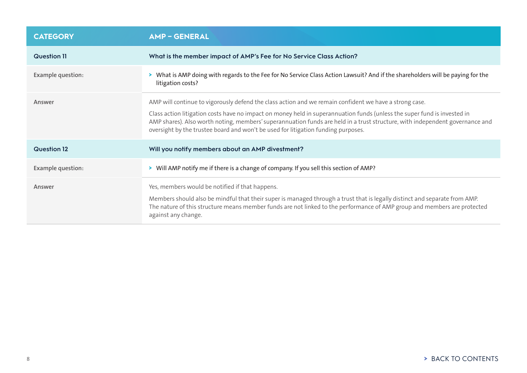<span id="page-7-0"></span>

| <b>CATEGORY</b>    | <b>AMP-GENERAL</b>                                                                                                                                                                                                                                                                                                                                                                                                                                      |
|--------------------|---------------------------------------------------------------------------------------------------------------------------------------------------------------------------------------------------------------------------------------------------------------------------------------------------------------------------------------------------------------------------------------------------------------------------------------------------------|
| <b>Question 11</b> | What is the member impact of AMP's Fee for No Service Class Action?                                                                                                                                                                                                                                                                                                                                                                                     |
| Example question:  | > What is AMP doing with regards to the Fee for No Service Class Action Lawsuit? And if the shareholders will be paying for the<br>litigation costs?                                                                                                                                                                                                                                                                                                    |
| Answer             | AMP will continue to vigorously defend the class action and we remain confident we have a strong case.<br>Class action litigation costs have no impact on money held in superannuation funds (unless the super fund is invested in<br>AMP shares). Also worth noting, members' superannuation funds are held in a trust structure, with independent governance and<br>oversight by the trustee board and won't be used for litigation funding purposes. |
| <b>Question 12</b> | Will you notify members about an AMP divestment?                                                                                                                                                                                                                                                                                                                                                                                                        |
| Example question:  | > Will AMP notify me if there is a change of company. If you sell this section of AMP?                                                                                                                                                                                                                                                                                                                                                                  |
| Answer             | Yes, members would be notified if that happens.<br>Members should also be mindful that their super is managed through a trust that is legally distinct and separate from AMP.<br>The nature of this structure means member funds are not linked to the performance of AMP group and members are protected<br>against any change.                                                                                                                        |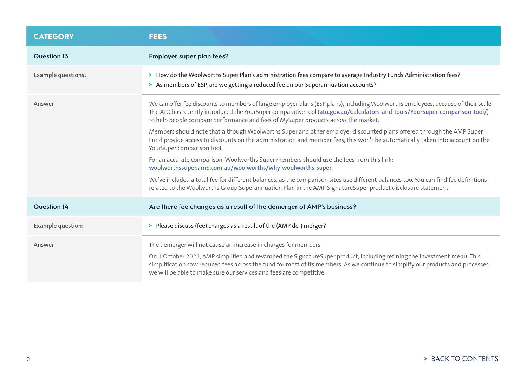<span id="page-8-0"></span>

| <b>CATEGORY</b>           | <b>FEES</b>                                                                                                                                                                                                                                                                                                                                                                                          |
|---------------------------|------------------------------------------------------------------------------------------------------------------------------------------------------------------------------------------------------------------------------------------------------------------------------------------------------------------------------------------------------------------------------------------------------|
| Question 13               | Employer super plan fees?                                                                                                                                                                                                                                                                                                                                                                            |
| <b>Example questions:</b> | > How do the Woolworths Super Plan's administration fees compare to average Industry Funds Administration fees?<br>> As members of ESP, are we getting a reduced fee on our Superannuation accounts?                                                                                                                                                                                                 |
| Answer                    | We can offer fee discounts to members of large employer plans (ESP plans), including Woolworths employees, because of their scale.<br>The ATO has recently introduced the YourSuper comparative tool (ato.gov.au/Calculators-and-tools/YourSuper-comparison-tool/)<br>to help people compare performance and fees of MySuper products across the market.                                             |
|                           | Members should note that although Woolworths Super and other employer discounted plans offered through the AMP Super<br>Fund provide access to discounts on the administration and member fees, this won't be automatically taken into account on the<br>YourSuper comparison tool.                                                                                                                  |
|                           | For an accurate comparison, Woolworths Super members should use the fees from this link:<br>woolworthssuper.amp.com.au/woolworths/why-woolworths-super.                                                                                                                                                                                                                                              |
|                           | We've included a total fee for different balances, as the comparison sites use different balances too. You can find fee definitions<br>related to the Woolworths Group Superannuation Plan in the AMP SignatureSuper product disclosure statement.                                                                                                                                                   |
| <b>Question 14</b>        | Are there fee changes as a result of the demerger of AMP's business?                                                                                                                                                                                                                                                                                                                                 |
| Example question:         | > Please discuss (fee) charges as a result of the (AMP de-) merger?                                                                                                                                                                                                                                                                                                                                  |
| Answer                    | The demerger will not cause an increase in charges for members.<br>On 1 October 2021, AMP simplified and revamped the SignatureSuper product, including refining the investment menu. This<br>simplification saw reduced fees across the fund for most of its members. As we continue to simplify our products and processes,<br>we will be able to make sure our services and fees are competitive. |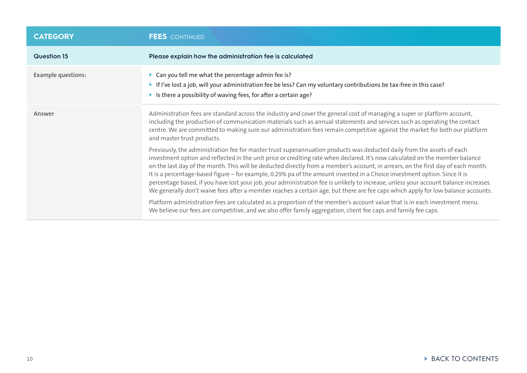| <b>CATEGORY</b>           | <b>FEES</b> CONTINUED                                                                                                                                                                                                                                                                                                                                                                                                                                                                                                                                                                                                                                                                                                                                                                                |
|---------------------------|------------------------------------------------------------------------------------------------------------------------------------------------------------------------------------------------------------------------------------------------------------------------------------------------------------------------------------------------------------------------------------------------------------------------------------------------------------------------------------------------------------------------------------------------------------------------------------------------------------------------------------------------------------------------------------------------------------------------------------------------------------------------------------------------------|
| <b>Question 15</b>        | Please explain how the administration fee is calculated                                                                                                                                                                                                                                                                                                                                                                                                                                                                                                                                                                                                                                                                                                                                              |
| <b>Example questions:</b> | > Can you tell me what the percentage admin fee is?<br>> If I've lost a job, will your administration fee be less? Can my voluntary contributions be tax-free in this case?<br>> Is there a possibility of waving fees, for after a certain age?                                                                                                                                                                                                                                                                                                                                                                                                                                                                                                                                                     |
| Answer                    | Administration fees are standard across the industry and cover the general cost of managing a super or platform account,<br>including the production of communication materials such as annual statements and services such as operating the contact<br>centre. We are committed to making sure our administration fees remain competitive against the market for both our platform<br>and master trust products.                                                                                                                                                                                                                                                                                                                                                                                    |
|                           | Previously, the administration fee for master trust superannuation products was deducted daily from the assets of each<br>investment option and reflected in the unit price or crediting rate when declared. It's now calculated on the member balance<br>on the last day of the month. This will be deducted directly from a member's account, in arrears, on the first day of each month.<br>It is a percentage-based figure - for example, 0.29% pa of the amount invested in a Choice investment option. Since it is<br>percentage based, if you have lost your job, your administration fee is unlikely to increase, unless your account balance increases.<br>We generally don't waive fees after a member reaches a certain age, but there are fee caps which apply for low balance accounts. |
|                           | Platform administration fees are calculated as a proportion of the member's account value that is in each investment menu.<br>We believe our fees are competitive, and we also offer family aggregation, client fee caps and family fee caps.                                                                                                                                                                                                                                                                                                                                                                                                                                                                                                                                                        |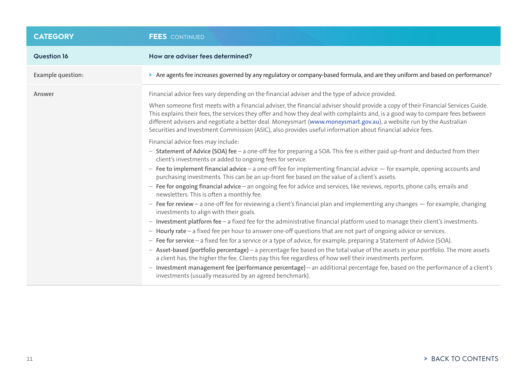| <b>CATEGORY</b>    | <b>FEES</b> CONTINUED                                                                                                                                                                                                                                                                                                                                                                                                                                                                                                                                                                                                                                                                                                                                                                                                                                                                                                                                                                                                                                                                                                                                                                                                                                                                                                                                                                       |
|--------------------|---------------------------------------------------------------------------------------------------------------------------------------------------------------------------------------------------------------------------------------------------------------------------------------------------------------------------------------------------------------------------------------------------------------------------------------------------------------------------------------------------------------------------------------------------------------------------------------------------------------------------------------------------------------------------------------------------------------------------------------------------------------------------------------------------------------------------------------------------------------------------------------------------------------------------------------------------------------------------------------------------------------------------------------------------------------------------------------------------------------------------------------------------------------------------------------------------------------------------------------------------------------------------------------------------------------------------------------------------------------------------------------------|
| <b>Question 16</b> | How are adviser fees determined?                                                                                                                                                                                                                                                                                                                                                                                                                                                                                                                                                                                                                                                                                                                                                                                                                                                                                                                                                                                                                                                                                                                                                                                                                                                                                                                                                            |
| Example question:  | > Are agents fee increases governed by any regulatory or company-based formula, and are they uniform and based on performance?                                                                                                                                                                                                                                                                                                                                                                                                                                                                                                                                                                                                                                                                                                                                                                                                                                                                                                                                                                                                                                                                                                                                                                                                                                                              |
| Answer             | Financial advice fees vary depending on the financial adviser and the type of advice provided.<br>When someone first meets with a financial adviser, the financial adviser should provide a copy of their Financial Services Guide.<br>This explains their fees, the services they offer and how they deal with complaints and, is a good way to compare fees between<br>different advisers and negotiate a better deal. Moneysmart (www.moneysmart.gov.au), a website run by the Australian<br>Securities and Investment Commission (ASIC), also provides useful information about financial advice fees.<br>Financial advice fees may include:<br>- Statement of Advice (SOA) fee - a one-off fee for preparing a SOA. This fee is either paid up-front and deducted from their<br>client's investments or added to ongoing fees for service.<br>- Fee to implement financial advice - a one-off fee for implementing financial advice - for example, opening accounts and<br>purchasing investments. This can be an up-front fee based on the value of a client's assets.<br>- Fee for ongoing financial advice - an ongoing fee for advice and services, like reviews, reports, phone calls, emails and<br>newsletters. This is often a monthly fee.<br>- Fee for review - a one-off fee for reviewing a client's financial plan and implementing any changes $-$ for example, changing |
|                    | investments to align with their goals.<br>- Investment platform fee - a fixed fee for the administrative financial platform used to manage their client's investments.<br>- Hourly rate - a fixed fee per hour to answer one-off questions that are not part of ongoing advice or services.<br>- Fee for service - a fixed fee for a service or a type of advice, for example, preparing a Statement of Advice (SOA).<br>- Asset-based (portfolio percentage) - a percentage fee based on the total value of the assets in your portfolio. The more assets<br>a client has, the higher the fee. Clients pay this fee regardless of how well their investments perform.<br>- Investment management fee (performance percentage) - an additional percentage fee, based on the performance of a client's<br>investments (usually measured by an agreed benchmark).                                                                                                                                                                                                                                                                                                                                                                                                                                                                                                                             |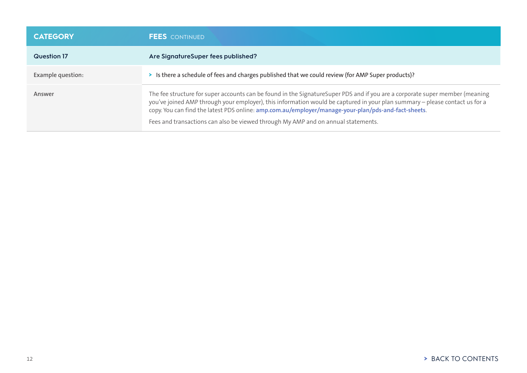| <b>CATEGORY</b>    | <b>FEES</b> CONTINUED                                                                                                                                                                                                                                                                                                                                                                                                                                   |
|--------------------|---------------------------------------------------------------------------------------------------------------------------------------------------------------------------------------------------------------------------------------------------------------------------------------------------------------------------------------------------------------------------------------------------------------------------------------------------------|
| <b>Question 17</b> | Are SignatureSuper fees published?                                                                                                                                                                                                                                                                                                                                                                                                                      |
| Example question:  | > Is there a schedule of fees and charges published that we could review (for AMP Super products)?                                                                                                                                                                                                                                                                                                                                                      |
| Answer             | The fee structure for super accounts can be found in the SignatureSuper PDS and if you are a corporate super member (meaning<br>you've joined AMP through your employer), this information would be captured in your plan summary - please contact us for a<br>copy. You can find the latest PDS online: amp.com.au/employer/manage-your-plan/pds-and-fact-sheets.<br>Fees and transactions can also be viewed through My AMP and on annual statements. |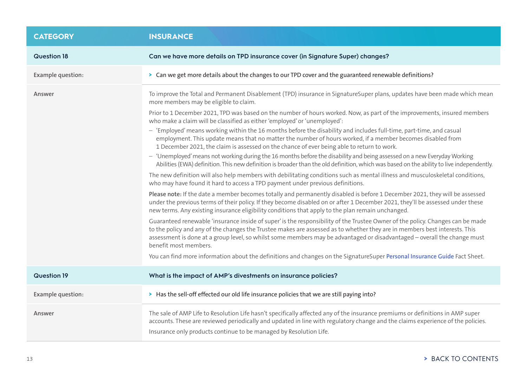<span id="page-12-0"></span>

| <b>CATEGORY</b>          | <b>INSURANCE</b>                                                                                                                                                                                                                                                                                                                                                                                                  |
|--------------------------|-------------------------------------------------------------------------------------------------------------------------------------------------------------------------------------------------------------------------------------------------------------------------------------------------------------------------------------------------------------------------------------------------------------------|
| <b>Question 18</b>       | Can we have more details on TPD insurance cover (in Signature Super) changes?                                                                                                                                                                                                                                                                                                                                     |
| <b>Example question:</b> | > Can we get more details about the changes to our TPD cover and the guaranteed renewable definitions?                                                                                                                                                                                                                                                                                                            |
| Answer                   | To improve the Total and Permanent Disablement (TPD) insurance in SignatureSuper plans, updates have been made which mean<br>more members may be eligible to claim.                                                                                                                                                                                                                                               |
|                          | Prior to 1 December 2021, TPD was based on the number of hours worked. Now, as part of the improvements, insured members<br>who make a claim will be classified as either 'employed' or 'unemployed':                                                                                                                                                                                                             |
|                          | - 'Employed' means working within the 16 months before the disability and includes full-time, part-time, and casual<br>employment. This update means that no matter the number of hours worked, if a member becomes disabled from<br>1 December 2021, the claim is assessed on the chance of ever being able to return to work.                                                                                   |
|                          | - 'Unemployed' means not working during the 16 months before the disability and being assessed on a new Everyday Working<br>Abilities (EWA) definition. This new definition is broader than the old definition, which was based on the ability to live independently.                                                                                                                                             |
|                          | The new definition will also help members with debilitating conditions such as mental illness and musculoskeletal conditions,<br>who may have found it hard to access a TPD payment under previous definitions.                                                                                                                                                                                                   |
|                          | Please note: If the date a member becomes totally and permanently disabled is before 1 December 2021, they will be assessed<br>under the previous terms of their policy. If they become disabled on or after 1 December 2021, they'll be assessed under these<br>new terms. Any existing insurance eligibility conditions that apply to the plan remain unchanged.                                                |
|                          | Guaranteed renewable 'insurance inside of super' is the responsibility of the Trustee Owner of the policy. Changes can be made<br>to the policy and any of the changes the Trustee makes are assessed as to whether they are in members best interests. This<br>assessment is done at a group level, so whilst some members may be advantaged or disadvantaged - overall the change must<br>benefit most members. |
|                          | You can find more information about the definitions and changes on the SignatureSuper Personal Insurance Guide Fact Sheet.                                                                                                                                                                                                                                                                                        |
| <b>Question 19</b>       | What is the impact of AMP's divestments on insurance policies?                                                                                                                                                                                                                                                                                                                                                    |
| <b>Example question:</b> | > Has the sell-off effected our old life insurance policies that we are still paying into?                                                                                                                                                                                                                                                                                                                        |
| Answer                   | The sale of AMP Life to Resolution Life hasn't specifically affected any of the insurance premiums or definitions in AMP super<br>accounts. These are reviewed periodically and updated in line with regulatory change and the claims experience of the policies.<br>Insurance only products continue to be managed by Resolution Life.                                                                           |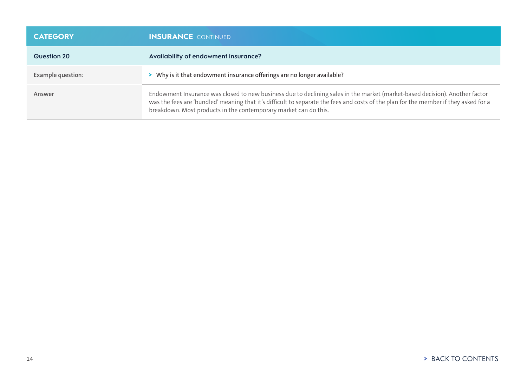| <b>CATEGORY</b>   | <b>INSURANCE</b> CONTINUED                                                                                                                                                                                                                                                                                                              |
|-------------------|-----------------------------------------------------------------------------------------------------------------------------------------------------------------------------------------------------------------------------------------------------------------------------------------------------------------------------------------|
| Question 20       | Availability of endowment insurance?                                                                                                                                                                                                                                                                                                    |
| Example question: | > Why is it that endowment insurance offerings are no longer available?                                                                                                                                                                                                                                                                 |
| Answer            | Endowment Insurance was closed to new business due to declining sales in the market (market-based decision). Another factor<br>was the fees are 'bundled' meaning that it's difficult to separate the fees and costs of the plan for the member if they asked for a<br>breakdown. Most products in the contemporary market can do this. |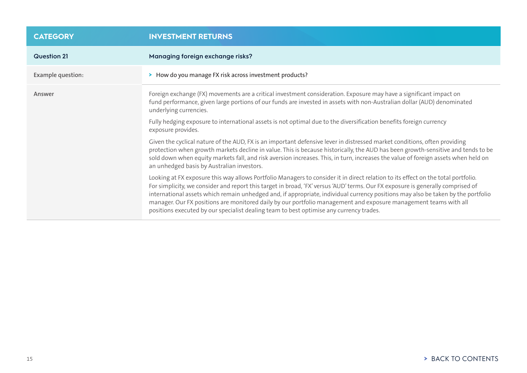<span id="page-14-0"></span>

| <b>CATEGORY</b>    | <b>INVESTMENT RETURNS</b>                                                                                                                                                                                                                                                                                                                                                                                                                                                                                                                                                                                               |
|--------------------|-------------------------------------------------------------------------------------------------------------------------------------------------------------------------------------------------------------------------------------------------------------------------------------------------------------------------------------------------------------------------------------------------------------------------------------------------------------------------------------------------------------------------------------------------------------------------------------------------------------------------|
| <b>Question 21</b> | Managing foreign exchange risks?                                                                                                                                                                                                                                                                                                                                                                                                                                                                                                                                                                                        |
| Example question:  | > How do you manage FX risk across investment products?                                                                                                                                                                                                                                                                                                                                                                                                                                                                                                                                                                 |
| Answer             | Foreign exchange (FX) movements are a critical investment consideration. Exposure may have a significant impact on<br>fund performance, given large portions of our funds are invested in assets with non-Australian dollar (AUD) denominated<br>underlying currencies.                                                                                                                                                                                                                                                                                                                                                 |
|                    | Fully hedging exposure to international assets is not optimal due to the diversification benefits foreign currency<br>exposure provides.                                                                                                                                                                                                                                                                                                                                                                                                                                                                                |
|                    | Given the cyclical nature of the AUD, FX is an important defensive lever in distressed market conditions, often providing<br>protection when growth markets decline in value. This is because historically, the AUD has been growth-sensitive and tends to be<br>sold down when equity markets fall, and risk aversion increases. This, in turn, increases the value of foreign assets when held on<br>an unhedged basis by Australian investors.                                                                                                                                                                       |
|                    | Looking at FX exposure this way allows Portfolio Managers to consider it in direct relation to its effect on the total portfolio.<br>For simplicity, we consider and report this target in broad, 'FX' versus 'AUD' terms. Our FX exposure is generally comprised of<br>international assets which remain unhedged and, if appropriate, individual currency positions may also be taken by the portfolio<br>manager. Our FX positions are monitored daily by our portfolio management and exposure management teams with all<br>positions executed by our specialist dealing team to best optimise any currency trades. |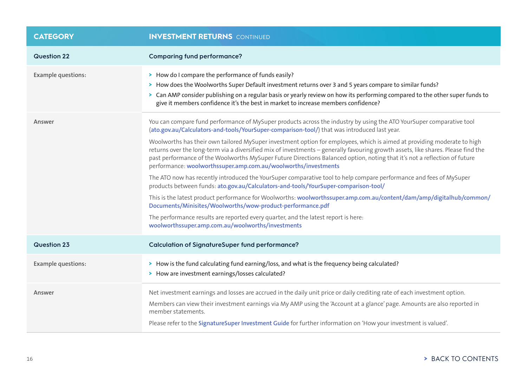| <b>CATEGORY</b>           | <b>INVESTMENT RETURNS</b> CONTINUED                                                                                                                                                                                                                                                                                                                                                                                                                         |
|---------------------------|-------------------------------------------------------------------------------------------------------------------------------------------------------------------------------------------------------------------------------------------------------------------------------------------------------------------------------------------------------------------------------------------------------------------------------------------------------------|
| <b>Question 22</b>        | <b>Comparing fund performance?</b>                                                                                                                                                                                                                                                                                                                                                                                                                          |
| <b>Example questions:</b> | > How do I compare the performance of funds easily?<br>> How does the Woolworths Super Default investment returns over 3 and 5 years compare to similar funds?<br>> Can AMP consider publishing on a regular basis or yearly review on how its performing compared to the other super funds to<br>give it members confidence it's the best in market to increase members confidence?                                                                        |
| Answer                    | You can compare fund performance of MySuper products across the industry by using the ATO YourSuper comparative tool<br>(ato.gov.au/Calculators-and-tools/YourSuper-comparison-tool/) that was introduced last year.                                                                                                                                                                                                                                        |
|                           | Woolworths has their own tailored MySuper investment option for employees, which is aimed at providing moderate to high<br>returns over the long-term via a diversified mix of investments - generally favouring growth assets, like shares. Please find the<br>past performance of the Woolworths MySuper Future Directions Balanced option, noting that it's not a reflection of future<br>performance: woolworthssuper.amp.com.au/woolworths/investments |
|                           | The ATO now has recently introduced the YourSuper comparative tool to help compare performance and fees of MySuper<br>products between funds: ato.gov.au/Calculators-and-tools/YourSuper-comparison-tool/                                                                                                                                                                                                                                                   |
|                           | This is the latest product performance for Woolworths: woolworthssuper.amp.com.au/content/dam/amp/digitalhub/common/<br>Documents/Minisites/Woolworths/wow-product-performance.pdf                                                                                                                                                                                                                                                                          |
|                           | The performance results are reported every quarter, and the latest report is here:<br>woolworthssuper.amp.com.au/woolworths/investments                                                                                                                                                                                                                                                                                                                     |
| Question 23               | <b>Calculation of SignatureSuper fund performance?</b>                                                                                                                                                                                                                                                                                                                                                                                                      |
| <b>Example questions:</b> | > How is the fund calculating fund earning/loss, and what is the frequency being calculated?<br>> How are investment earnings/losses calculated?                                                                                                                                                                                                                                                                                                            |
| Answer                    | Net investment earnings and losses are accrued in the daily unit price or daily crediting rate of each investment option.<br>Members can view their investment earnings via My AMP using the 'Account at a glance' page. Amounts are also reported in<br>member statements.<br>Please refer to the SignatureSuper Investment Guide for further information on 'How your investment is valued'.                                                              |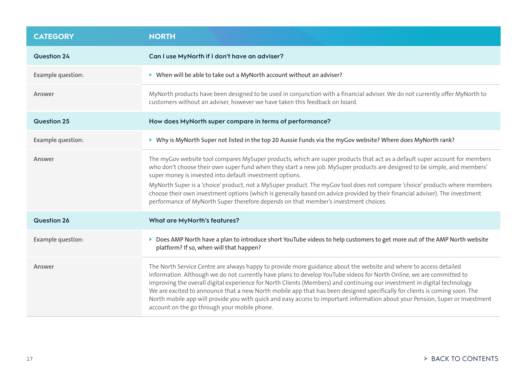<span id="page-16-0"></span>

| <b>CATEGORY</b>    | <b>NORTH</b>                                                                                                                                                                                                                                                                                                                                                                                                                                                                                                                                                                                                                                                                          |
|--------------------|---------------------------------------------------------------------------------------------------------------------------------------------------------------------------------------------------------------------------------------------------------------------------------------------------------------------------------------------------------------------------------------------------------------------------------------------------------------------------------------------------------------------------------------------------------------------------------------------------------------------------------------------------------------------------------------|
| <b>Question 24</b> | Can I use MyNorth if I don't have an adviser?                                                                                                                                                                                                                                                                                                                                                                                                                                                                                                                                                                                                                                         |
| Example question:  | > When will be able to take out a MyNorth account without an adviser?                                                                                                                                                                                                                                                                                                                                                                                                                                                                                                                                                                                                                 |
| Answer             | MyNorth products have been designed to be used in conjunction with a financial adviser. We do not currently offer MyNorth to<br>customers without an adviser, however we have taken this feedback on board.                                                                                                                                                                                                                                                                                                                                                                                                                                                                           |
| <b>Question 25</b> | How does MyNorth super compare in terms of performance?                                                                                                                                                                                                                                                                                                                                                                                                                                                                                                                                                                                                                               |
| Example question:  | > Why is MyNorth Super not listed in the top 20 Aussie Funds via the myGov website? Where does MyNorth rank?                                                                                                                                                                                                                                                                                                                                                                                                                                                                                                                                                                          |
| Answer             | The myGov website tool compares MySuper products, which are super products that act as a default super account for members<br>who don't choose their own super fund when they start a new job. MySuper products are designed to be simple, and members'<br>super money is invested into default investment options.<br>MyNorth Super is a 'choice' product, not a MySuper product. The myGov tool does not compare 'choice' products where members<br>choose their own investment options (which is generally based on advice provided by their financial adviser). The investment<br>performance of MyNorth Super therefore depends on that member's investment choices.             |
| <b>Question 26</b> | What are MyNorth's features?                                                                                                                                                                                                                                                                                                                                                                                                                                                                                                                                                                                                                                                          |
| Example question:  | > Does AMP North have a plan to introduce short YouTube videos to help customers to get more out of the AMP North website<br>platform? If so, when will that happen?                                                                                                                                                                                                                                                                                                                                                                                                                                                                                                                  |
| Answer             | The North Service Centre are always happy to provide more guidance about the website and where to access detailed<br>information. Although we do not currently have plans to develop YouTube videos for North Online, we are committed to<br>improving the overall digital experience for North Clients (Members) and continuing our investment in digital technology.<br>We are excited to announce that a new North mobile app that has been designed specifically for clients is coming soon. The<br>North mobile app will provide you with quick and easy access to important information about your Pension, Super or Investment<br>account on the go through your mobile phone. |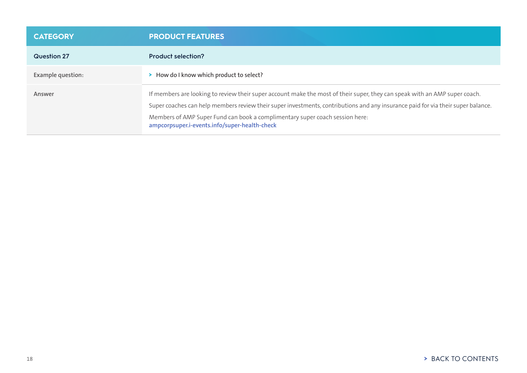<span id="page-17-0"></span>

| <b>CATEGORY</b>    | <b>PRODUCT FEATURES</b>                                                                                                                                                                                                                                                                                                                                                                         |
|--------------------|-------------------------------------------------------------------------------------------------------------------------------------------------------------------------------------------------------------------------------------------------------------------------------------------------------------------------------------------------------------------------------------------------|
| <b>Question 27</b> | <b>Product selection?</b>                                                                                                                                                                                                                                                                                                                                                                       |
| Example question:  | > How do I know which product to select?                                                                                                                                                                                                                                                                                                                                                        |
| Answer             | If members are looking to review their super account make the most of their super, they can speak with an AMP super coach.<br>Super coaches can help members review their super investments, contributions and any insurance paid for via their super balance.<br>Members of AMP Super Fund can book a complimentary super coach session here:<br>ampcorpsuper.i-events.info/super-health-check |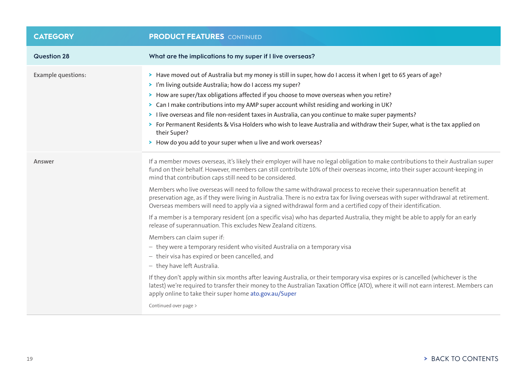| <b>CATEGORY</b>           | <b>PRODUCT FEATURES</b> CONTINUED                                                                                                                                                                                                                                                                                                                                                                                                                                                                                                                                                                                                                                                                                                                                                                                                                                                                                                                                                                                                                                                                                                                                                                                                                                                                                                                                                                                                                                                     |
|---------------------------|---------------------------------------------------------------------------------------------------------------------------------------------------------------------------------------------------------------------------------------------------------------------------------------------------------------------------------------------------------------------------------------------------------------------------------------------------------------------------------------------------------------------------------------------------------------------------------------------------------------------------------------------------------------------------------------------------------------------------------------------------------------------------------------------------------------------------------------------------------------------------------------------------------------------------------------------------------------------------------------------------------------------------------------------------------------------------------------------------------------------------------------------------------------------------------------------------------------------------------------------------------------------------------------------------------------------------------------------------------------------------------------------------------------------------------------------------------------------------------------|
| <b>Question 28</b>        | What are the implications to my super if I live overseas?                                                                                                                                                                                                                                                                                                                                                                                                                                                                                                                                                                                                                                                                                                                                                                                                                                                                                                                                                                                                                                                                                                                                                                                                                                                                                                                                                                                                                             |
| <b>Example questions:</b> | > Have moved out of Australia but my money is still in super, how do I access it when I get to 65 years of age?<br>> I'm living outside Australia; how do I access my super?<br>> How are super/tax obligations affected if you choose to move overseas when you retire?<br>> Can I make contributions into my AMP super account whilst residing and working in UK?<br>> I live overseas and file non-resident taxes in Australia, can you continue to make super payments?<br>> For Permanent Residents & Visa Holders who wish to leave Australia and withdraw their Super, what is the tax applied on<br>their Super?<br>> How do you add to your super when u live and work overseas?                                                                                                                                                                                                                                                                                                                                                                                                                                                                                                                                                                                                                                                                                                                                                                                             |
| Answer                    | If a member moves overseas, it's likely their employer will have no legal obligation to make contributions to their Australian super<br>fund on their behalf. However, members can still contribute 10% of their overseas income, into their super account-keeping in<br>mind that contribution caps still need to be considered.<br>Members who live overseas will need to follow the same withdrawal process to receive their superannuation benefit at<br>preservation age, as if they were living in Australia. There is no extra tax for living overseas with super withdrawal at retirement.<br>Overseas members will need to apply via a signed withdrawal form and a certified copy of their identification.<br>If a member is a temporary resident (on a specific visa) who has departed Australia, they might be able to apply for an early<br>release of superannuation. This excludes New Zealand citizens.<br>Members can claim super if:<br>- they were a temporary resident who visited Australia on a temporary visa<br>- their visa has expired or been cancelled, and<br>- they have left Australia.<br>If they don't apply within six months after leaving Australia, or their temporary visa expires or is cancelled (whichever is the<br>latest) we're required to transfer their money to the Australian Taxation Office (ATO), where it will not earn interest. Members can<br>apply online to take their super home ato.gov.au/Super<br>Continued over page > |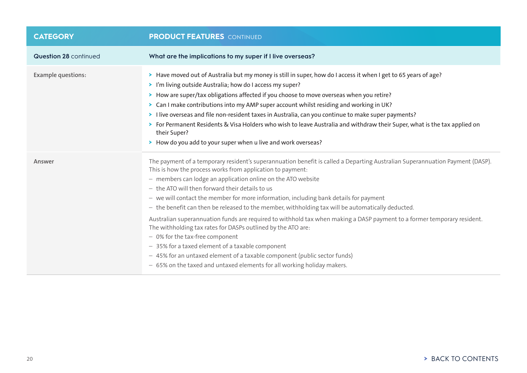| <b>CATEGORY</b>           | <b>PRODUCT FEATURES</b> CONTINUED                                                                                                                                                                                                                                                                                                                                                                                                                                                                                                                                                                                                                                                                                                                                                                                                                                                                                                                     |
|---------------------------|-------------------------------------------------------------------------------------------------------------------------------------------------------------------------------------------------------------------------------------------------------------------------------------------------------------------------------------------------------------------------------------------------------------------------------------------------------------------------------------------------------------------------------------------------------------------------------------------------------------------------------------------------------------------------------------------------------------------------------------------------------------------------------------------------------------------------------------------------------------------------------------------------------------------------------------------------------|
| Question 28 continued     | What are the implications to my super if I live overseas?                                                                                                                                                                                                                                                                                                                                                                                                                                                                                                                                                                                                                                                                                                                                                                                                                                                                                             |
| <b>Example questions:</b> | > Have moved out of Australia but my money is still in super, how do I access it when I get to 65 years of age?<br>> I'm living outside Australia; how do I access my super?<br>> How are super/tax obligations affected if you choose to move overseas when you retire?<br>> Can I make contributions into my AMP super account whilst residing and working in UK?<br>> I live overseas and file non-resident taxes in Australia, can you continue to make super payments?<br>> For Permanent Residents & Visa Holders who wish to leave Australia and withdraw their Super, what is the tax applied on<br>their Super?<br>> How do you add to your super when u live and work overseas?                                                                                                                                                                                                                                                             |
| Answer                    | The payment of a temporary resident's superannuation benefit is called a Departing Australian Superannuation Payment (DASP).<br>This is how the process works from application to payment:<br>- members can lodge an application online on the ATO website<br>- the ATO will then forward their details to us<br>- we will contact the member for more information, including bank details for payment<br>- the benefit can then be released to the member, withholding tax will be automatically deducted.<br>Australian superannuation funds are required to withhold tax when making a DASP payment to a former temporary resident.<br>The withholding tax rates for DASPs outlined by the ATO are:<br>- 0% for the tax-free component<br>- 35% for a taxed element of a taxable component<br>- 45% for an untaxed element of a taxable component (public sector funds)<br>- 65% on the taxed and untaxed elements for all working holiday makers. |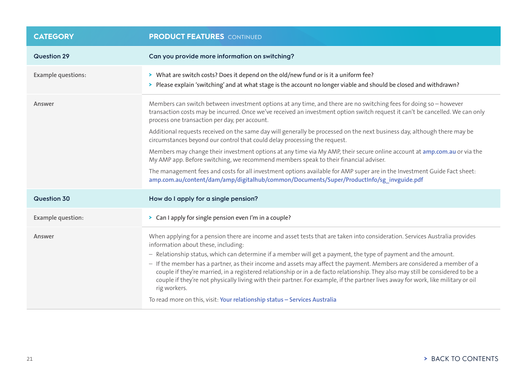| <b>CATEGORY</b>           | <b>PRODUCT FEATURES</b> CONTINUED                                                                                                                                                                                                                                                                                                                                                                               |
|---------------------------|-----------------------------------------------------------------------------------------------------------------------------------------------------------------------------------------------------------------------------------------------------------------------------------------------------------------------------------------------------------------------------------------------------------------|
| <b>Question 29</b>        | Can you provide more information on switching?                                                                                                                                                                                                                                                                                                                                                                  |
| <b>Example questions:</b> | > What are switch costs? Does it depend on the old/new fund or is it a uniform fee?<br>> Please explain 'switching' and at what stage is the account no longer viable and should be closed and withdrawn?                                                                                                                                                                                                       |
| Answer                    | Members can switch between investment options at any time, and there are no switching fees for doing so - however<br>transaction costs may be incurred. Once we've received an investment option switch request it can't be cancelled. We can only<br>process one transaction per day, per account.                                                                                                             |
|                           | Additional requests received on the same day will generally be processed on the next business day, although there may be<br>circumstances beyond our control that could delay processing the request.                                                                                                                                                                                                           |
|                           | Members may change their investment options at any time via My AMP, their secure online account at amp.com.au or via the<br>My AMP app. Before switching, we recommend members speak to their financial adviser.                                                                                                                                                                                                |
|                           | The management fees and costs for all investment options available for AMP super are in the Investment Guide Fact sheet:<br>amp.com.au/content/dam/amp/digitalhub/common/Documents/Super/ProductInfo/sg_invguide.pdf                                                                                                                                                                                            |
| Question 30               | How do I apply for a single pension?                                                                                                                                                                                                                                                                                                                                                                            |
| Example question:         | > Can I apply for single pension even I'm in a couple?                                                                                                                                                                                                                                                                                                                                                          |
| Answer                    | When applying for a pension there are income and asset tests that are taken into consideration. Services Australia provides<br>information about these, including:                                                                                                                                                                                                                                              |
|                           | - Relationship status, which can determine if a member will get a payment, the type of payment and the amount.                                                                                                                                                                                                                                                                                                  |
|                           | - If the member has a partner, as their income and assets may affect the payment. Members are considered a member of a<br>couple if they're married, in a registered relationship or in a de facto relationship. They also may still be considered to be a<br>couple if they're not physically living with their partner. For example, if the partner lives away for work, like military or oil<br>rig workers. |
|                           | To read more on this, visit: Your relationship status - Services Australia                                                                                                                                                                                                                                                                                                                                      |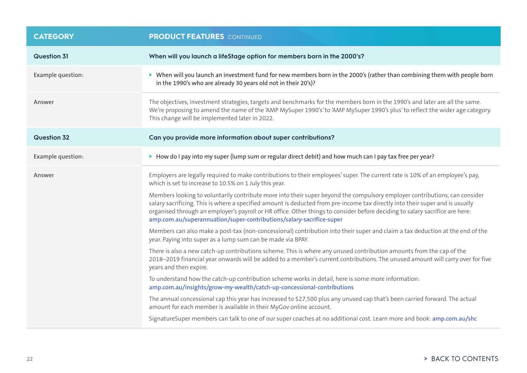| <b>CATEGORY</b>          | <b>PRODUCT FEATURES</b> CONTINUED                                                                                                                                                                                                                                                                                                                                                                                                                                   |
|--------------------------|---------------------------------------------------------------------------------------------------------------------------------------------------------------------------------------------------------------------------------------------------------------------------------------------------------------------------------------------------------------------------------------------------------------------------------------------------------------------|
| <b>Question 31</b>       | When will you launch a lifeStage option for members born in the 2000's?                                                                                                                                                                                                                                                                                                                                                                                             |
| <b>Example question:</b> | > When will you launch an investment fund for new members born in the 2000's (rather than combining them with people born<br>in the 1990's who are already 30 years old not in their 20's)?                                                                                                                                                                                                                                                                         |
| Answer                   | The objectives, investment strategies, targets and benchmarks for the members born in the 1990's and later are all the same.<br>We're proposing to amend the name of the 'AMP MySuper 1990's' to 'AMP MySuper 1990's plus' to reflect the wider age category.<br>This change will be implemented later in 2022.                                                                                                                                                     |
| <b>Question 32</b>       | Can you provide more information about super contributions?                                                                                                                                                                                                                                                                                                                                                                                                         |
| Example question:        | > How do I pay into my super (lump sum or regular direct debit) and how much can I pay tax free per year?                                                                                                                                                                                                                                                                                                                                                           |
| Answer                   | Employers are legally required to make contributions to their employees' super. The current rate is 10% of an employee's pay,<br>which is set to increase to 10.5% on 1 July this year.                                                                                                                                                                                                                                                                             |
|                          | Members looking to voluntarily contribute more into their super beyond the compulsory employer contributions, can consider<br>salary sacrificing. This is where a specified amount is deducted from pre-income tax directly into their super and is usually<br>organised through an employer's payroll or HR office. Other things to consider before deciding to salary sacrifice are here:<br>amp.com.au/superannuation/super-contributions/salary-sacrifice-super |
|                          | Members can also make a post-tax (non-concessional) contribution into their super and claim a tax deduction at the end of the<br>year. Paying into super as a lump sum can be made via BPAY.                                                                                                                                                                                                                                                                        |
|                          | There is also a new catch-up contributions scheme. This is where any unused contribution amounts from the cap of the<br>2018-2019 financial year onwards will be added to a member's current contributions. The unused amount will carry over for five<br>years and then expire.                                                                                                                                                                                    |
|                          | To understand how the catch-up contribution scheme works in detail, here is some more information:<br>amp.com.au/insights/grow-my-wealth/catch-up-concessional-contributions                                                                                                                                                                                                                                                                                        |
|                          | The annual concessional cap this year has increased to \$27,500 plus any unused cap that's been carried forward. The actual<br>amount for each member is available in their MyGov online account.                                                                                                                                                                                                                                                                   |
|                          | SignatureSuper members can talk to one of our super coaches at no additional cost. Learn more and book: amp.com.au/shc                                                                                                                                                                                                                                                                                                                                              |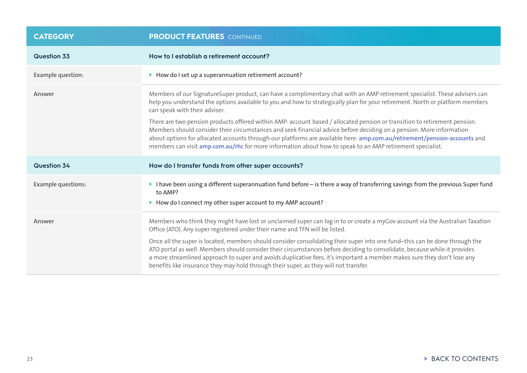| <b>CATEGORY</b>           | <b>PRODUCT FEATURES</b> CONTINUED                                                                                                                                                                                                                                                                                                                                                                                                                                                                                                                                                                                                                                                             |
|---------------------------|-----------------------------------------------------------------------------------------------------------------------------------------------------------------------------------------------------------------------------------------------------------------------------------------------------------------------------------------------------------------------------------------------------------------------------------------------------------------------------------------------------------------------------------------------------------------------------------------------------------------------------------------------------------------------------------------------|
| Question 33               | How to I establish a retirement account?                                                                                                                                                                                                                                                                                                                                                                                                                                                                                                                                                                                                                                                      |
| Example question:         | > How do I set up a superannuation retirement account?                                                                                                                                                                                                                                                                                                                                                                                                                                                                                                                                                                                                                                        |
| Answer                    | Members of our SignatureSuper product, can have a complimentary chat with an AMP retirement specialist. These advisers can<br>help you understand the options available to you and how to strategically plan for your retirement. North or platform members<br>can speak with their adviser.                                                                                                                                                                                                                                                                                                                                                                                                  |
|                           | There are two pension products offered within AMP: account based / allocated pension or transition to retirement pension.<br>Members should consider their circumstances and seek financial advice before deciding on a pension. More information<br>about options for allocated accounts through our platforms are available here: amp.com.au/retirement/pension-accounts and<br>members can visit amp.com.au/rhc for more information about how to speak to an AMP retirement specialist.                                                                                                                                                                                                   |
| <b>Question 34</b>        | How do I transfer funds from other super accounts?                                                                                                                                                                                                                                                                                                                                                                                                                                                                                                                                                                                                                                            |
| <b>Example questions:</b> | I have been using a different superannuation fund before – is there a way of transferring savings from the previous Super fund<br>to AMP?<br>> How do I connect my other super account to my AMP account?                                                                                                                                                                                                                                                                                                                                                                                                                                                                                     |
| Answer                    | Members who think they might have lost or unclaimed super can log in to or create a myGov account via the Australian Taxation<br>Office (ATO). Any super registered under their name and TFN will be listed.<br>Once all the super is located, members should consider consolidating their super into one fund-this can be done through the<br>ATO portal as well. Members should consider their circumstances before deciding to consolidate, because while it provides<br>a more streamlined approach to super and avoids duplicative fees, it's important a member makes sure they don't lose any<br>benefits like insurance they may hold through their super, as they will not transfer. |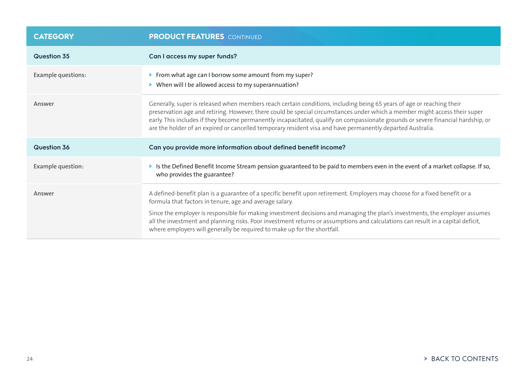| <b>CATEGORY</b>           | <b>PRODUCT FEATURES</b> CONTINUED                                                                                                                                                                                                                                                                                                                                                                                                                                                                                                   |
|---------------------------|-------------------------------------------------------------------------------------------------------------------------------------------------------------------------------------------------------------------------------------------------------------------------------------------------------------------------------------------------------------------------------------------------------------------------------------------------------------------------------------------------------------------------------------|
| Question 35               | Can I access my super funds?                                                                                                                                                                                                                                                                                                                                                                                                                                                                                                        |
| <b>Example questions:</b> | > From what age can I borrow some amount from my super?<br>> When will I be allowed access to my superannuation?                                                                                                                                                                                                                                                                                                                                                                                                                    |
| Answer                    | Generally, super is released when members reach certain conditions, including being 65 years of age or reaching their<br>preservation age and retiring. However, there could be special circumstances under which a member might access their super<br>early. This includes if they become permanently incapacitated, qualify on compassionate grounds or severe financial hardship, or<br>are the holder of an expired or cancelled temporary resident visa and have permanently departed Australia.                               |
| Question 36               | Can you provide more information about defined benefit income?                                                                                                                                                                                                                                                                                                                                                                                                                                                                      |
| Example question:         | > Is the Defined Benefit Income Stream pension guaranteed to be paid to members even in the event of a market collapse. If so,<br>who provides the guarantee?                                                                                                                                                                                                                                                                                                                                                                       |
| Answer                    | A defined-benefit plan is a guarantee of a specific benefit upon retirement. Employers may choose for a fixed benefit or a<br>formula that factors in tenure, age and average salary.<br>Since the employer is responsible for making investment decisions and managing the plan's investments, the employer assumes<br>all the investment and planning risks. Poor investment returns or assumptions and calculations can result in a capital deficit,<br>where employers will generally be required to make up for the shortfall. |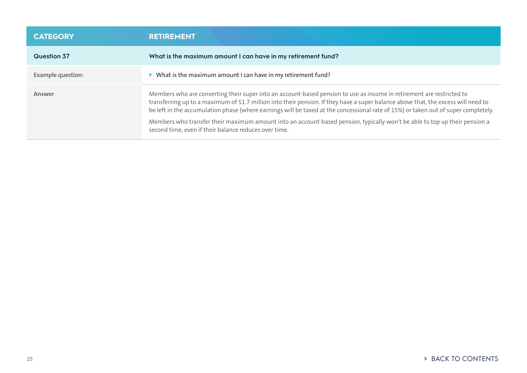<span id="page-24-0"></span>

| <b>CATEGORY</b>    | <b>RETIREMENT</b>                                                                                                                                                                                                                                                                                                                                                                                                                                                                                                                                                                        |
|--------------------|------------------------------------------------------------------------------------------------------------------------------------------------------------------------------------------------------------------------------------------------------------------------------------------------------------------------------------------------------------------------------------------------------------------------------------------------------------------------------------------------------------------------------------------------------------------------------------------|
| <b>Question 37</b> | What is the maximum amount I can have in my retirement fund?                                                                                                                                                                                                                                                                                                                                                                                                                                                                                                                             |
| Example question:  | > What is the maximum amount I can have in my retirement fund?                                                                                                                                                                                                                                                                                                                                                                                                                                                                                                                           |
| Answer             | Members who are converting their super into an account-based pension to use as income in retirement are restricted to<br>transferring up to a maximum of \$1.7 million into their pension. If they have a super balance above that, the excess will need to<br>be left in the accumulation phase (where earnings will be taxed at the concessional rate of 15%) or taken out of super completely.<br>Members who transfer their maximum amount into an account-based pension, typically won't be able to top up their pension a<br>second time, even if their balance reduces over time. |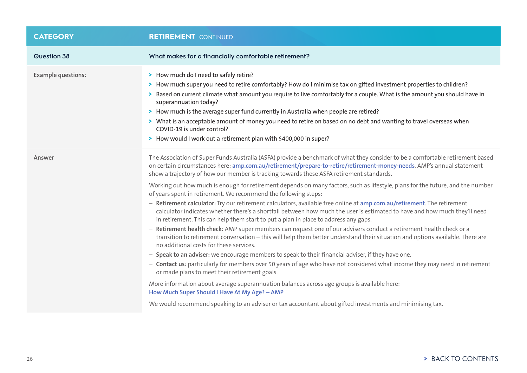| <b>CATEGORY</b>           | <b>RETIREMENT</b> CONTINUED                                                                                                                                                                                                                                                                                                                                                                                                                                                                                                                                                                                                                                                                                                                                                                                                                                                                                                                                                                                                                                                                                                                                                                                                                                                                                                                                                                                                                                                                                                                                                                                                                                                                                                                                   |
|---------------------------|---------------------------------------------------------------------------------------------------------------------------------------------------------------------------------------------------------------------------------------------------------------------------------------------------------------------------------------------------------------------------------------------------------------------------------------------------------------------------------------------------------------------------------------------------------------------------------------------------------------------------------------------------------------------------------------------------------------------------------------------------------------------------------------------------------------------------------------------------------------------------------------------------------------------------------------------------------------------------------------------------------------------------------------------------------------------------------------------------------------------------------------------------------------------------------------------------------------------------------------------------------------------------------------------------------------------------------------------------------------------------------------------------------------------------------------------------------------------------------------------------------------------------------------------------------------------------------------------------------------------------------------------------------------------------------------------------------------------------------------------------------------|
| <b>Question 38</b>        | What makes for a financially comfortable retirement?                                                                                                                                                                                                                                                                                                                                                                                                                                                                                                                                                                                                                                                                                                                                                                                                                                                                                                                                                                                                                                                                                                                                                                                                                                                                                                                                                                                                                                                                                                                                                                                                                                                                                                          |
| <b>Example questions:</b> | > How much do I need to safely retire?<br>> How much super you need to retire comfortably? How do I minimise tax on gifted investment properties to children?<br>Based on current climate what amount you require to live comfortably for a couple. What is the amount you should have in<br>superannuation today?<br>> How much is the average super fund currently in Australia when people are retired?<br>> What is an acceptable amount of money you need to retire on based on no debt and wanting to travel overseas when<br>COVID-19 is under control?<br>> How would I work out a retirement plan with \$400,000 in super?                                                                                                                                                                                                                                                                                                                                                                                                                                                                                                                                                                                                                                                                                                                                                                                                                                                                                                                                                                                                                                                                                                                           |
| Answer                    | The Association of Super Funds Australia (ASFA) provide a benchmark of what they consider to be a comfortable retirement based<br>on certain circumstances here: amp.com.au/retirement/prepare-to-retire/retirement-money-needs. AMP's annual statement<br>show a trajectory of how our member is tracking towards these ASFA retirement standards.<br>Working out how much is enough for retirement depends on many factors, such as lifestyle, plans for the future, and the number<br>of years spent in retirement. We recommend the following steps:<br>- Retirement calculator: Try our retirement calculators, available free online at amp.com.au/retirement. The retirement<br>calculator indicates whether there's a shortfall between how much the user is estimated to have and how much they'll need<br>in retirement. This can help them start to put a plan in place to address any gaps.<br>- Retirement health check: AMP super members can request one of our advisers conduct a retirement health check or a<br>transition to retirement conversation - this will help them better understand their situation and options available. There are<br>no additional costs for these services.<br>- Speak to an adviser: we encourage members to speak to their financial adviser, if they have one.<br>- Contact us: particularly for members over 50 years of age who have not considered what income they may need in retirement<br>or made plans to meet their retirement goals.<br>More information about average superannuation balances across age groups is available here:<br>How Much Super Should I Have At My Age? - AMP<br>We would recommend speaking to an adviser or tax accountant about gifted investments and minimising tax. |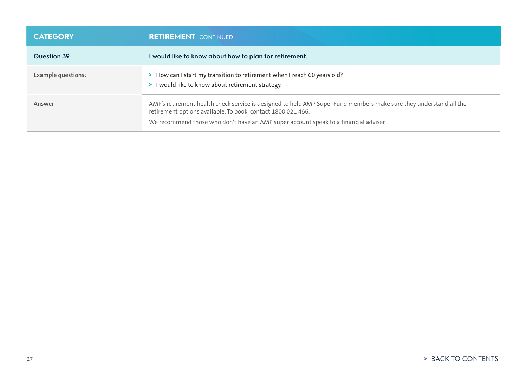| <b>CATEGORY</b>           | <b>RETIREMENT</b> CONTINUED                                                                                                                                                                                                                                                |
|---------------------------|----------------------------------------------------------------------------------------------------------------------------------------------------------------------------------------------------------------------------------------------------------------------------|
| <b>Question 39</b>        | I would like to know about how to plan for retirement.                                                                                                                                                                                                                     |
| <b>Example questions:</b> | > How can I start my transition to retirement when I reach 60 years old?<br>> I would like to know about retirement strategy.                                                                                                                                              |
| Answer                    | AMP's retirement health check service is designed to help AMP Super Fund members make sure they understand all the<br>retirement options available. To book, contact 1800 021 466.<br>We recommend those who don't have an AMP super account speak to a financial adviser. |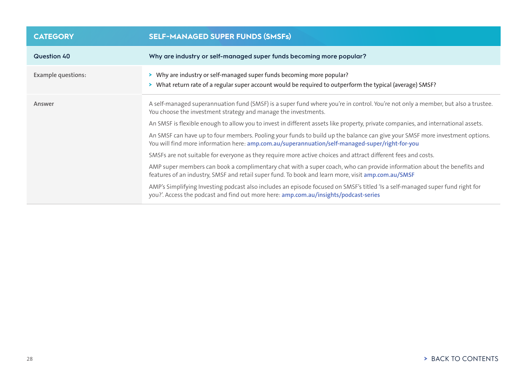<span id="page-27-0"></span>

| <b>CATEGORY</b>           | <b>SELF-MANAGED SUPER FUNDS (SMSFs)</b>                                                                                                                                                                                        |
|---------------------------|--------------------------------------------------------------------------------------------------------------------------------------------------------------------------------------------------------------------------------|
| Question 40               | Why are industry or self-managed super funds becoming more popular?                                                                                                                                                            |
| <b>Example questions:</b> | > Why are industry or self-managed super funds becoming more popular?<br>> What return rate of a regular super account would be required to outperform the typical (average) SMSF?                                             |
| Answer                    | A self-managed superannuation fund (SMSF) is a super fund where you're in control. You're not only a member, but also a trustee.<br>You choose the investment strategy and manage the investments.                             |
|                           | An SMSF is flexible enough to allow you to invest in different assets like property, private companies, and international assets.                                                                                              |
|                           | An SMSF can have up to four members. Pooling your funds to build up the balance can give your SMSF more investment options.<br>You will find more information here: amp.com.au/superannuation/self-managed-super/right-for-you |
|                           | SMSFs are not suitable for everyone as they require more active choices and attract different fees and costs.                                                                                                                  |
|                           | AMP super members can book a complimentary chat with a super coach, who can provide information about the benefits and<br>features of an industry, SMSF and retail super fund. To book and learn more, visit amp.com.au/SMSF   |
|                           | AMP's Simplifying Investing podcast also includes an episode focused on SMSF's titled 'Is a self-managed super fund right for<br>you?'. Access the podcast and find out more here: amp.com.au/insights/podcast-series          |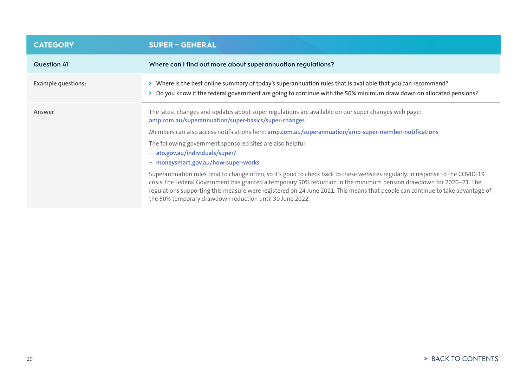<span id="page-28-0"></span>

| <b>CATEGORY</b>           | <b>SUPER - GENERAL</b>                                                                                                                                                                                                                                                                                                                                                                                                                               |
|---------------------------|------------------------------------------------------------------------------------------------------------------------------------------------------------------------------------------------------------------------------------------------------------------------------------------------------------------------------------------------------------------------------------------------------------------------------------------------------|
| <b>Question 41</b>        | Where can I find out more about superannuation regulations?                                                                                                                                                                                                                                                                                                                                                                                          |
| <b>Example questions:</b> | > Where is the best online summary of today's superannuation rules that is available that you can recommend?<br>> Do you know if the federal government are going to continue with the 50% minimum draw down on allocated pensions?                                                                                                                                                                                                                  |
| Answer                    | The latest changes and updates about super regulations are available on our super changes web page:<br>amp.com.au/superannuation/super-basics/super-changes                                                                                                                                                                                                                                                                                          |
|                           | Members can also access notifications here: amp.com.au/superannuation/amp-super-member-notifications                                                                                                                                                                                                                                                                                                                                                 |
|                           | The following government sponsored sites are also helpful:<br>- ato.gov.au/individuals/super/<br>- moneysmart.gov.au/how-super-works.                                                                                                                                                                                                                                                                                                                |
|                           | Superannuation rules tend to change often, so it's good to check back to these websites regularly. In response to the COVID-19<br>crisis, the Federal Government has granted a temporary 50% reduction in the minimum pension drawdown for 2020-21. The<br>regulations supporting this measure were registered on 24 June 2021. This means that people can continue to take advantage of<br>the 50% temporary drawdown reduction until 30 June 2022. |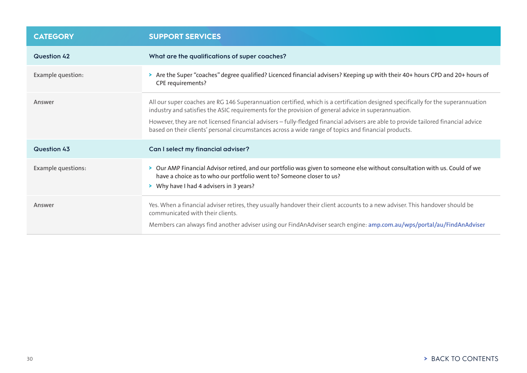<span id="page-29-0"></span>

| <b>CATEGORY</b>           | <b>SUPPORT SERVICES</b>                                                                                                                                                                                                                                                                                                                                                                                                                                                               |
|---------------------------|---------------------------------------------------------------------------------------------------------------------------------------------------------------------------------------------------------------------------------------------------------------------------------------------------------------------------------------------------------------------------------------------------------------------------------------------------------------------------------------|
| <b>Question 42</b>        | What are the qualifications of super coaches?                                                                                                                                                                                                                                                                                                                                                                                                                                         |
| Example question:         | > Are the Super "coaches" degree qualified? Licenced financial advisers? Keeping up with their 40+ hours CPD and 20+ hours of<br>CPE requirements?                                                                                                                                                                                                                                                                                                                                    |
| Answer                    | All our super coaches are RG 146 Superannuation certified, which is a certification designed specifically for the superannuation<br>industry and satisfies the ASIC requirements for the provision of general advice in superannuation.<br>However, they are not licensed financial advisers - fully-fledged financial advisers are able to provide tailored financial advice<br>based on their clients' personal circumstances across a wide range of topics and financial products. |
| Question 43               | Can I select my financial adviser?                                                                                                                                                                                                                                                                                                                                                                                                                                                    |
| <b>Example questions:</b> | > Our AMP Financial Advisor retired, and our portfolio was given to someone else without consultation with us. Could of we<br>have a choice as to who our portfolio went to? Someone closer to us?<br>> Why have I had 4 advisers in 3 years?                                                                                                                                                                                                                                         |
| Answer                    | Yes. When a financial adviser retires, they usually handover their client accounts to a new adviser. This handover should be<br>communicated with their clients.<br>Members can always find another adviser using our FindAnAdviser search engine: amp.com.au/wps/portal/au/FindAnAdviser                                                                                                                                                                                             |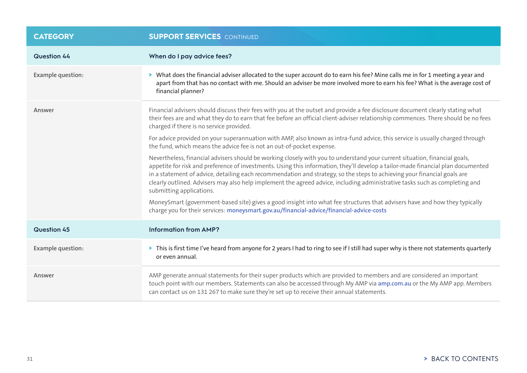| <b>CATEGORY</b>          | <b>SUPPORT SERVICES</b> CONTINUED                                                                                                                                                                                                                                                                                                                                                                                                                                                                                                                     |
|--------------------------|-------------------------------------------------------------------------------------------------------------------------------------------------------------------------------------------------------------------------------------------------------------------------------------------------------------------------------------------------------------------------------------------------------------------------------------------------------------------------------------------------------------------------------------------------------|
| Question 44              | When do I pay advice fees?                                                                                                                                                                                                                                                                                                                                                                                                                                                                                                                            |
| Example question:        | > What does the financial adviser allocated to the super account do to earn his fee? Mine calls me in for 1 meeting a year and<br>apart from that has no contact with me. Should an adviser be more involved more to earn his fee? What is the average cost of<br>financial planner?                                                                                                                                                                                                                                                                  |
| Answer                   | Financial advisers should discuss their fees with you at the outset and provide a fee disclosure document clearly stating what<br>their fees are and what they do to earn that fee before an official client-adviser relationship commences. There should be no fees<br>charged if there is no service provided.                                                                                                                                                                                                                                      |
|                          | For advice provided on your superannuation with AMP, also known as intra-fund advice, this service is usually charged through<br>the fund, which means the advice fee is not an out-of-pocket expense.                                                                                                                                                                                                                                                                                                                                                |
|                          | Nevertheless, financial advisers should be working closely with you to understand your current situation, financial goals,<br>appetite for risk and preference of investments. Using this information, they'll develop a tailor-made financial plan documented<br>in a statement of advice, detailing each recommendation and strategy, so the steps to achieving your financial goals are<br>clearly outlined. Advisers may also help implement the agreed advice, including administrative tasks such as completing and<br>submitting applications. |
|                          | MoneySmart (government-based site) gives a good insight into what fee structures that advisers have and how they typically<br>charge you for their services: moneysmart.gov.au/financial-advice/financial-advice-costs                                                                                                                                                                                                                                                                                                                                |
| <b>Question 45</b>       | <b>Information from AMP?</b>                                                                                                                                                                                                                                                                                                                                                                                                                                                                                                                          |
| <b>Example question:</b> | > This is first time I've heard from anyone for 2 years I had to ring to see if I still had super why is there not statements quarterly<br>or even annual.                                                                                                                                                                                                                                                                                                                                                                                            |
| Answer                   | AMP generate annual statements for their super products which are provided to members and are considered an important<br>touch point with our members. Statements can also be accessed through My AMP via amp.com.au or the My AMP app. Members<br>can contact us on 131 267 to make sure they're set up to receive their annual statements.                                                                                                                                                                                                          |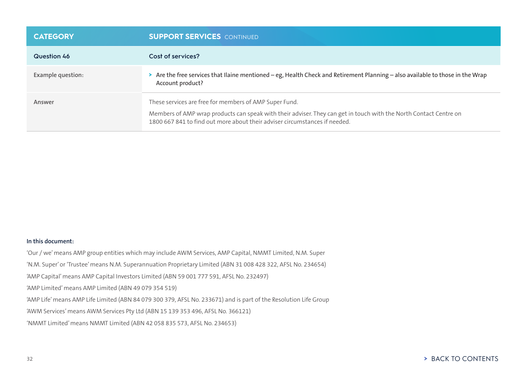| <b>CATEGORY</b>   | <b>SUPPORT SERVICES</b> CONTINUED                                                                                                                                                                                                                         |
|-------------------|-----------------------------------------------------------------------------------------------------------------------------------------------------------------------------------------------------------------------------------------------------------|
| Question 46       | Cost of services?                                                                                                                                                                                                                                         |
| Example question: | > Are the free services that Ilaine mentioned – eg, Health Check and Retirement Planning – also available to those in the Wrap<br>Account product?                                                                                                        |
| Answer            | These services are free for members of AMP Super Fund.<br>Members of AMP wrap products can speak with their adviser. They can get in touch with the North Contact Centre on<br>1800 667 841 to find out more about their adviser circumstances if needed. |

### **In this document:**

'Our / we' means AMP group entities which may include AWM Services, AMP Capital, NMMT Limited, N.M. Super

'N.M. Super' or 'Trustee' means N.M. Superannuation Proprietary Limited (ABN 31 008 428 322, AFSL No. 234654)

'AMP Capital' means AMP Capital Investors Limited (ABN 59 001 777 591, AFSL No. 232497)

'AMP Limited' means AMP Limited (ABN 49 079 354 519)

'AMP Life' means AMP Life Limited (ABN 84 079 300 379, AFSL No. 233671) and is part of the Resolution Life Group

'AWM Services' means AWM Services Pty Ltd (ABN 15 139 353 496, AFSL No. 366121)

'NMMT Limited' means NMMT Limited (ABN 42 058 835 573, AFSL No. 234653)